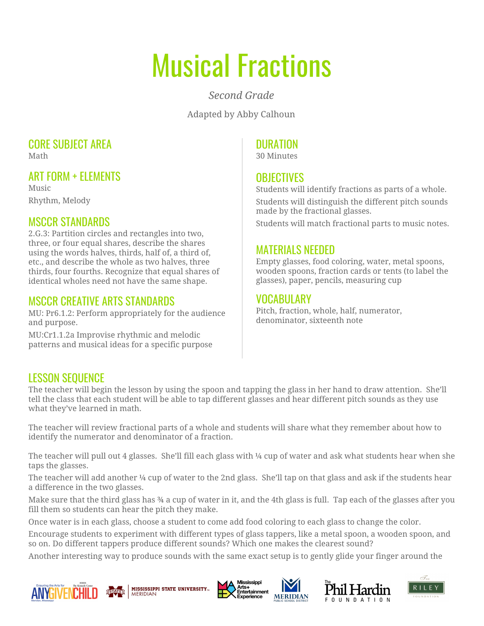# Musical Fractions

*Second Grade*

Adapted by Abby Calhoun

#### CORE SUBJECT AREA Math

ART FORM + ELEMENTS

Music Rhythm, Melody

# MSCCR STANDARDS

2.G.3: Partition circles and rectangles into two, three, or four equal shares, describe the shares using the words halves, thirds, half of, a third of, etc., and describe the whole as two halves, three thirds, four fourths. Recognize that equal shares of identical wholes need not have the same shape.

#### MSCCR CREATIVE ARTS STANDARDS

MU: Pr6.1.2: Perform appropriately for the audience and purpose.

MU:Cr1.1.2a Improvise rhythmic and melodic patterns and musical ideas for a specific purpose

### DURATION

30 Minutes

### **OBJECTIVES**

Students will identify fractions as parts of a whole. Students will distinguish the different pitch sounds made by the fractional glasses.

Students will match fractional parts to music notes.

#### MATERIALS NEEDED

Empty glasses, food coloring, water, metal spoons, wooden spoons, fraction cards or tents (to label the glasses), paper, pencils, measuring cup

#### VOCABULARY

Pitch, fraction, whole, half, numerator, denominator, sixteenth note

# LESSON SEQUENCE

The teacher will begin the lesson by using the spoon and tapping the glass in her hand to draw attention. She'll tell the class that each student will be able to tap different glasses and hear different pitch sounds as they use what they've learned in math.

The teacher will review fractional parts of a whole and students will share what they remember about how to identify the numerator and denominator of a fraction.

The teacher will pull out 4 glasses. She'll fill each glass with 1/4 cup of water and ask what students hear when she taps the glasses.

The teacher will add another 1/4 cup of water to the 2nd glass. She'll tap on that glass and ask if the students hear a difference in the two glasses.

Make sure that the third glass has 34 a cup of water in it, and the 4th glass is full. Tap each of the glasses after you fill them so students can hear the pitch they make.

Once water is in each glass, choose a student to come add food coloring to each glass to change the color.

Encourage students to experiment with different types of glass tappers, like a metal spoon, a wooden spoon, and so on. Do different tappers produce different sounds? Which one makes the clearest sound?

Another interesting way to produce sounds with the same exact setup is to gently glide your finger around the